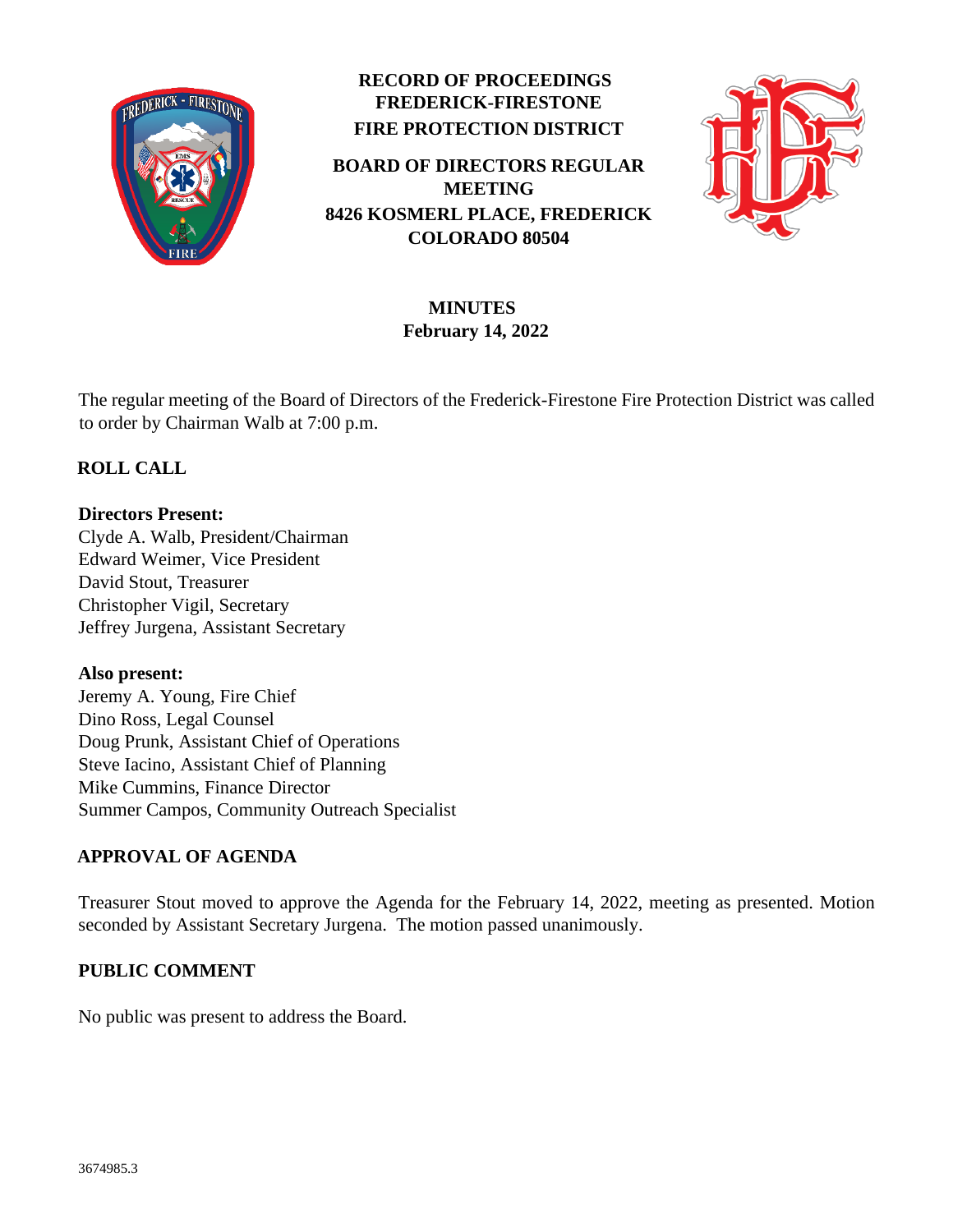

# **RECORD OF PROCEEDINGS FREDERICK-FIRESTONE FIRE PROTECTION DISTRICT**

**BOARD OF DIRECTORS REGULAR MEETING 8426 KOSMERL PLACE, FREDERICK COLORADO 80504**



# **MINUTES February 14, 2022**

The regular meeting of the Board of Directors of the Frederick-Firestone Fire Protection District was called to order by Chairman Walb at 7:00 p.m.

## **ROLL CALL**

### **Directors Present:**

Clyde A. Walb, President/Chairman Edward Weimer, Vice President David Stout, Treasurer Christopher Vigil, Secretary Jeffrey Jurgena, Assistant Secretary

## **Also present:**

Jeremy A. Young, Fire Chief Dino Ross, Legal Counsel Doug Prunk, Assistant Chief of Operations Steve Iacino, Assistant Chief of Planning Mike Cummins, Finance Director Summer Campos, Community Outreach Specialist

## **APPROVAL OF AGENDA**

Treasurer Stout moved to approve the Agenda for the February 14, 2022, meeting as presented. Motion seconded by Assistant Secretary Jurgena. The motion passed unanimously.

## **PUBLIC COMMENT**

No public was present to address the Board.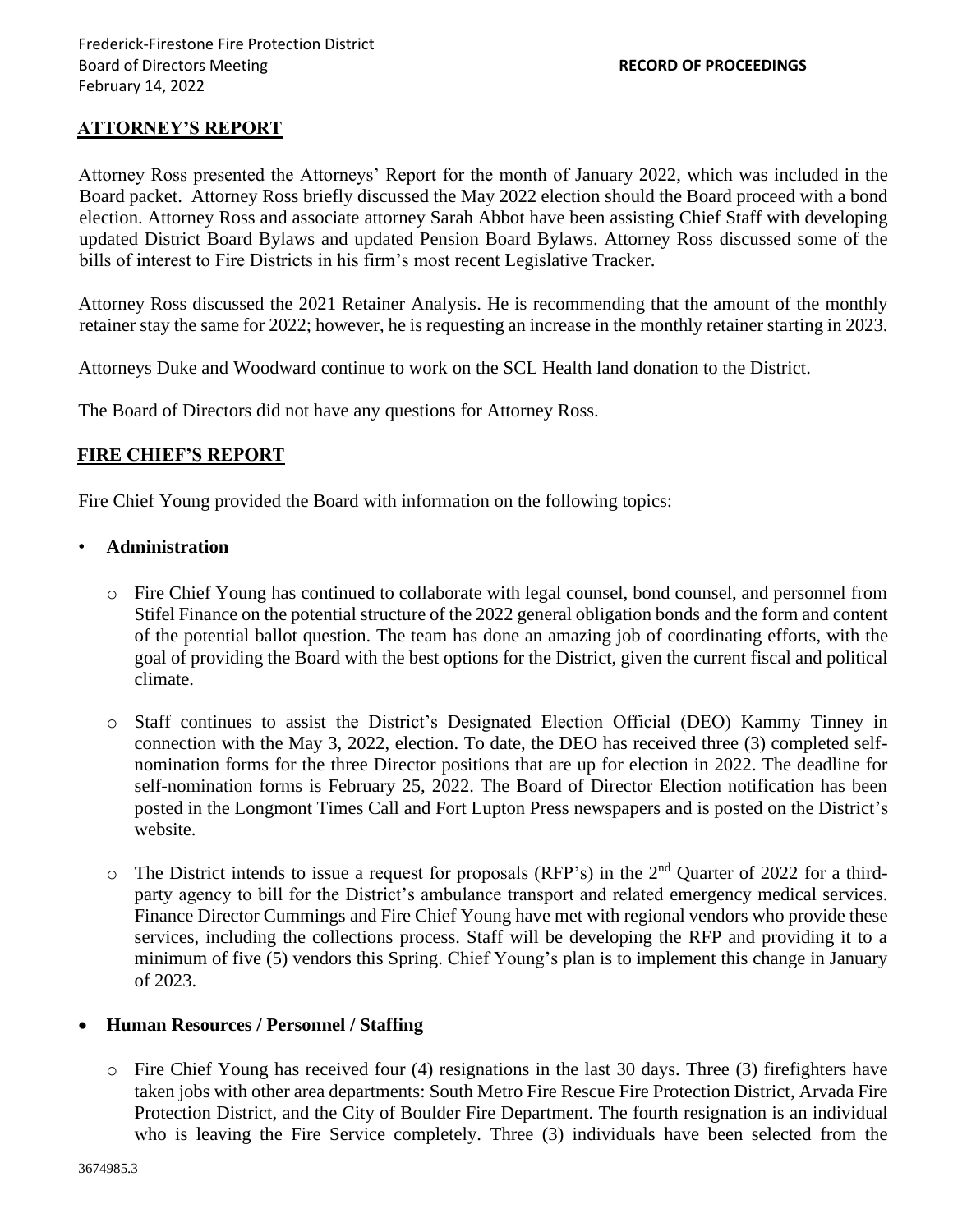#### **ATTORNEY'S REPORT**

Attorney Ross presented the Attorneys' Report for the month of January 2022, which was included in the Board packet. Attorney Ross briefly discussed the May 2022 election should the Board proceed with a bond election. Attorney Ross and associate attorney Sarah Abbot have been assisting Chief Staff with developing updated District Board Bylaws and updated Pension Board Bylaws. Attorney Ross discussed some of the bills of interest to Fire Districts in his firm's most recent Legislative Tracker.

Attorney Ross discussed the 2021 Retainer Analysis. He is recommending that the amount of the monthly retainer stay the same for 2022; however, he is requesting an increase in the monthly retainer starting in 2023.

Attorneys Duke and Woodward continue to work on the SCL Health land donation to the District.

The Board of Directors did not have any questions for Attorney Ross.

### **FIRE CHIEF'S REPORT**

Fire Chief Young provided the Board with information on the following topics:

#### • **Administration**

- o Fire Chief Young has continued to collaborate with legal counsel, bond counsel, and personnel from Stifel Finance on the potential structure of the 2022 general obligation bonds and the form and content of the potential ballot question. The team has done an amazing job of coordinating efforts, with the goal of providing the Board with the best options for the District, given the current fiscal and political climate.
- o Staff continues to assist the District's Designated Election Official (DEO) Kammy Tinney in connection with the May 3, 2022, election. To date, the DEO has received three (3) completed selfnomination forms for the three Director positions that are up for election in 2022. The deadline for self-nomination forms is February 25, 2022. The Board of Director Election notification has been posted in the Longmont Times Call and Fort Lupton Press newspapers and is posted on the District's website.
- o The District intends to issue a request for proposals (RFP's) in the 2nd Quarter of 2022 for a thirdparty agency to bill for the District's ambulance transport and related emergency medical services. Finance Director Cummings and Fire Chief Young have met with regional vendors who provide these services, including the collections process. Staff will be developing the RFP and providing it to a minimum of five (5) vendors this Spring. Chief Young's plan is to implement this change in January of 2023.

#### • **Human Resources / Personnel / Staffing**

o Fire Chief Young has received four (4) resignations in the last 30 days. Three (3) firefighters have taken jobs with other area departments: South Metro Fire Rescue Fire Protection District, Arvada Fire Protection District, and the City of Boulder Fire Department. The fourth resignation is an individual who is leaving the Fire Service completely. Three (3) individuals have been selected from the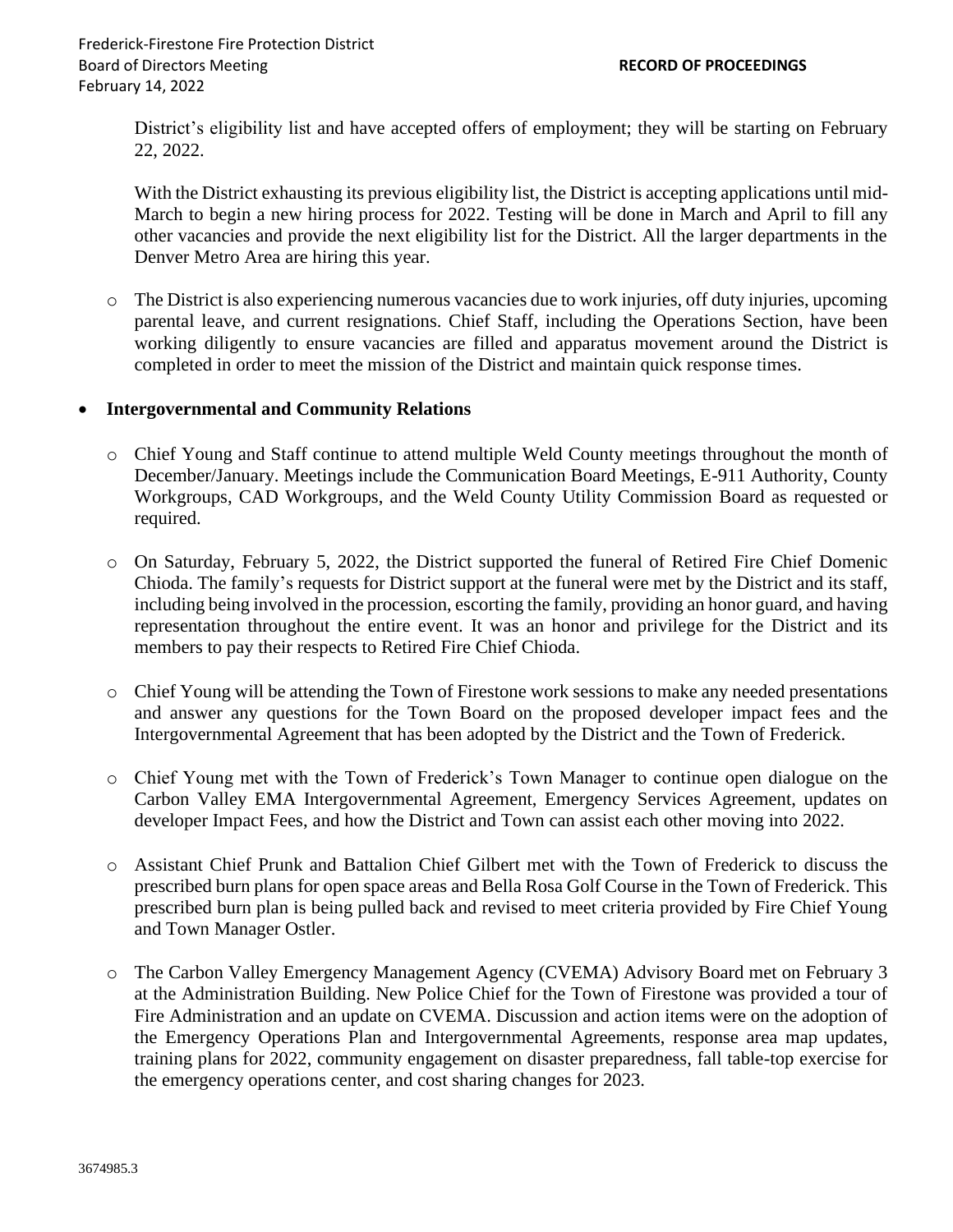District's eligibility list and have accepted offers of employment; they will be starting on February 22, 2022.

With the District exhausting its previous eligibility list, the District is accepting applications until mid-March to begin a new hiring process for 2022. Testing will be done in March and April to fill any other vacancies and provide the next eligibility list for the District. All the larger departments in the Denver Metro Area are hiring this year.

o The District is also experiencing numerous vacancies due to work injuries, off duty injuries, upcoming parental leave, and current resignations. Chief Staff, including the Operations Section, have been working diligently to ensure vacancies are filled and apparatus movement around the District is completed in order to meet the mission of the District and maintain quick response times.

#### • **Intergovernmental and Community Relations**

- o Chief Young and Staff continue to attend multiple Weld County meetings throughout the month of December/January. Meetings include the Communication Board Meetings, E-911 Authority, County Workgroups, CAD Workgroups, and the Weld County Utility Commission Board as requested or required.
- o On Saturday, February 5, 2022, the District supported the funeral of Retired Fire Chief Domenic Chioda. The family's requests for District support at the funeral were met by the District and its staff, including being involved in the procession, escorting the family, providing an honor guard, and having representation throughout the entire event. It was an honor and privilege for the District and its members to pay their respects to Retired Fire Chief Chioda.
- o Chief Young will be attending the Town of Firestone work sessions to make any needed presentations and answer any questions for the Town Board on the proposed developer impact fees and the Intergovernmental Agreement that has been adopted by the District and the Town of Frederick.
- o Chief Young met with the Town of Frederick's Town Manager to continue open dialogue on the Carbon Valley EMA Intergovernmental Agreement, Emergency Services Agreement, updates on developer Impact Fees, and how the District and Town can assist each other moving into 2022.
- o Assistant Chief Prunk and Battalion Chief Gilbert met with the Town of Frederick to discuss the prescribed burn plans for open space areas and Bella Rosa Golf Course in the Town of Frederick. This prescribed burn plan is being pulled back and revised to meet criteria provided by Fire Chief Young and Town Manager Ostler.
- o The Carbon Valley Emergency Management Agency (CVEMA) Advisory Board met on February 3 at the Administration Building. New Police Chief for the Town of Firestone was provided a tour of Fire Administration and an update on CVEMA. Discussion and action items were on the adoption of the Emergency Operations Plan and Intergovernmental Agreements, response area map updates, training plans for 2022, community engagement on disaster preparedness, fall table-top exercise for the emergency operations center, and cost sharing changes for 2023.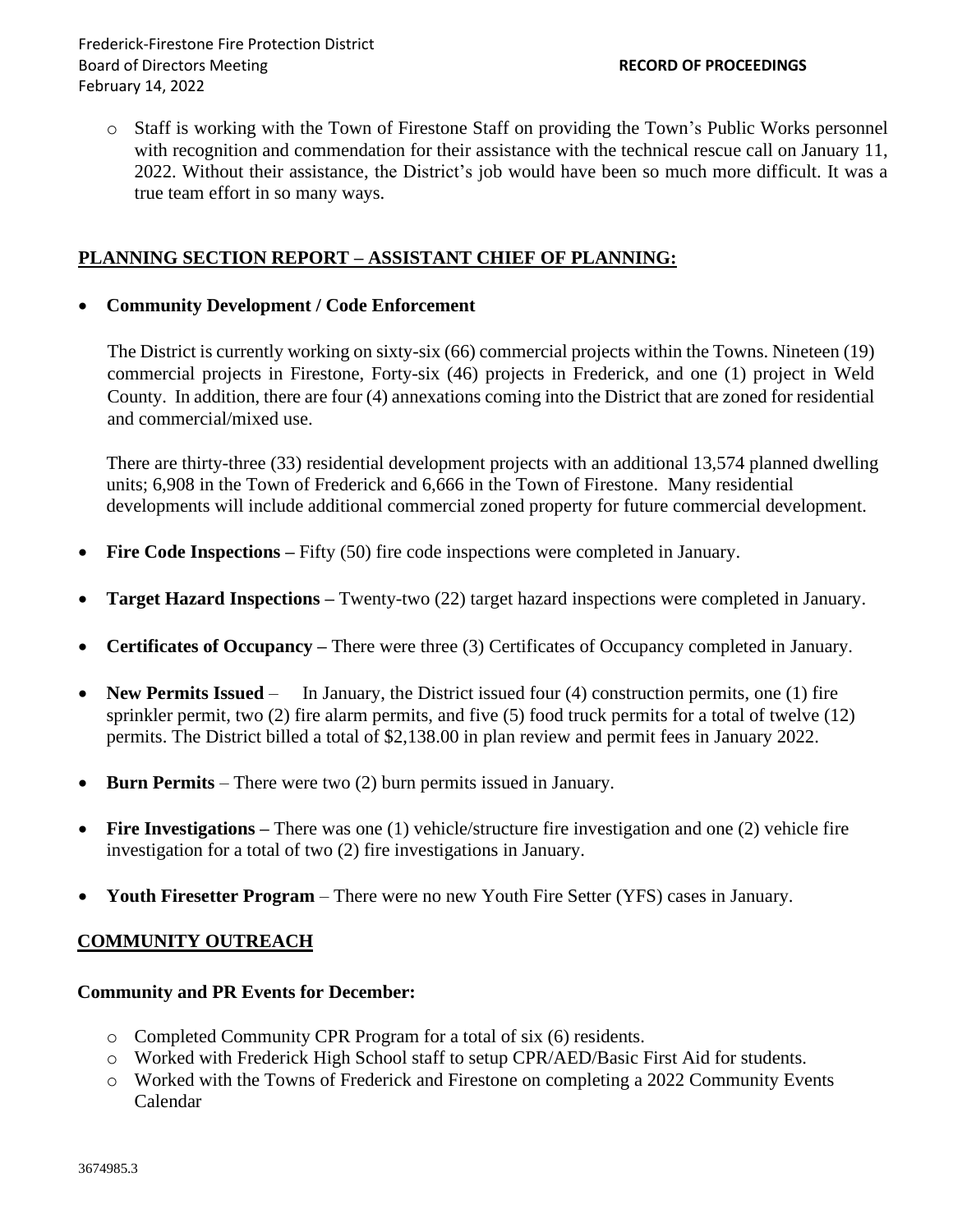o Staff is working with the Town of Firestone Staff on providing the Town's Public Works personnel with recognition and commendation for their assistance with the technical rescue call on January 11, 2022. Without their assistance, the District's job would have been so much more difficult. It was a true team effort in so many ways.

### **PLANNING SECTION REPORT – ASSISTANT CHIEF OF PLANNING:**

#### • **Community Development / Code Enforcement**

The District is currently working on sixty-six (66) commercial projects within the Towns. Nineteen (19) commercial projects in Firestone, Forty-six (46) projects in Frederick, and one (1) project in Weld County. In addition, there are four (4) annexations coming into the District that are zoned for residential and commercial/mixed use.

There are thirty-three (33) residential development projects with an additional 13,574 planned dwelling units; 6,908 in the Town of Frederick and 6,666 in the Town of Firestone. Many residential developments will include additional commercial zoned property for future commercial development.

- **Fire Code Inspections** Fifty (50) fire code inspections were completed in January.
- **Target Hazard Inspections –** Twenty-two (22) target hazard inspections were completed in January.
- **Certificates of Occupancy –** There were three (3) Certificates of Occupancy completed in January.
- **New Permits Issued** In January, the District issued four (4) construction permits, one (1) fire sprinkler permit, two (2) fire alarm permits, and five (5) food truck permits for a total of twelve (12) permits. The District billed a total of \$2,138.00 in plan review and permit fees in January 2022.
- **Burn Permits** There were two (2) burn permits issued in January.
- **Fire Investigations –** There was one (1) vehicle/structure fire investigation and one (2) vehicle fire investigation for a total of two (2) fire investigations in January.
- **Youth Firesetter Program**  There were no new Youth Fire Setter (YFS) cases in January.

#### **COMMUNITY OUTREACH**

#### **Community and PR Events for December:**

- o Completed Community CPR Program for a total of six (6) residents.
- o Worked with Frederick High School staff to setup CPR/AED/Basic First Aid for students.
- o Worked with the Towns of Frederick and Firestone on completing a 2022 Community Events Calendar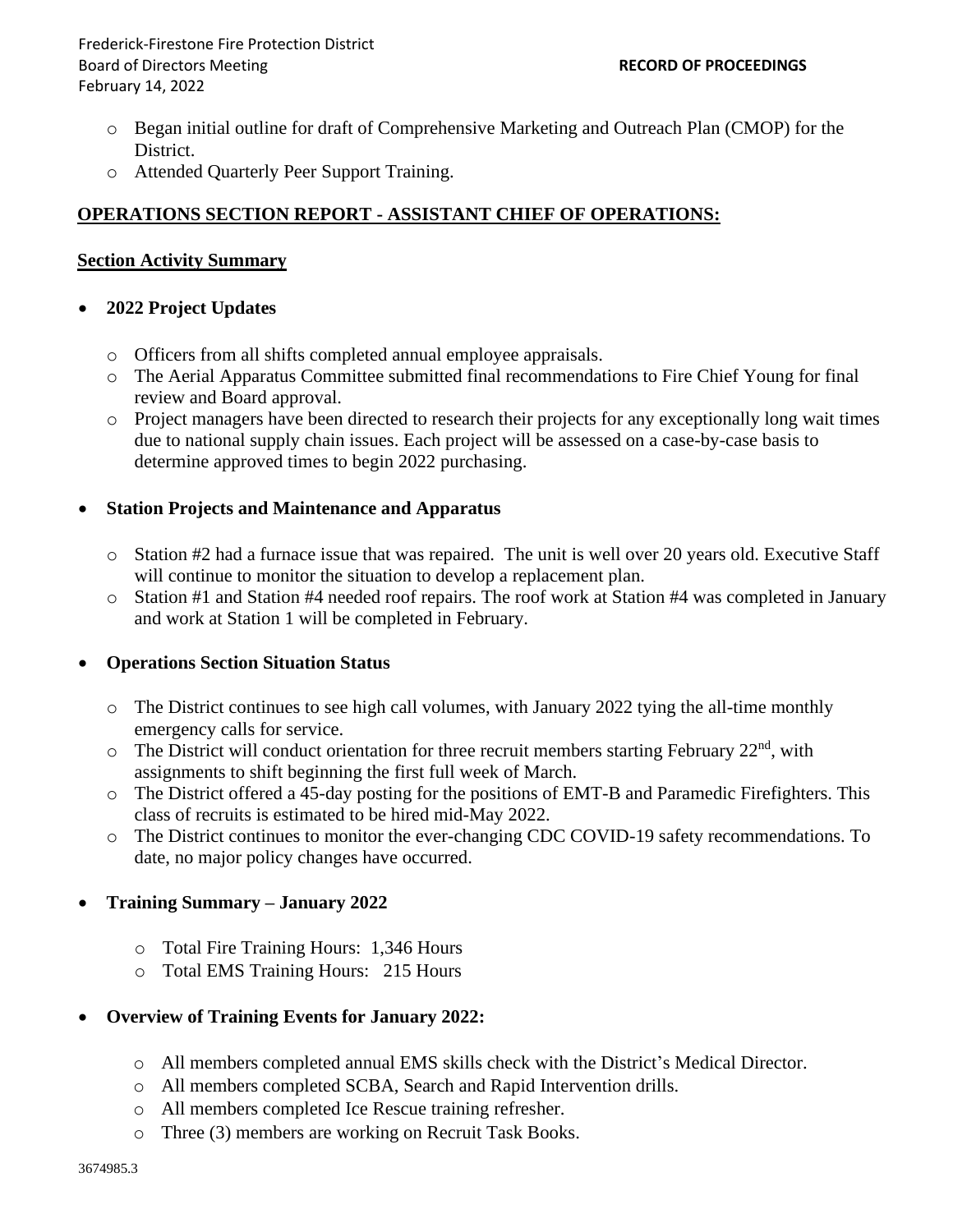Frederick-Firestone Fire Protection District Board of Directors Meeting **RECORD OF PROCEEDINGS** February 14, 2022

- o Began initial outline for draft of Comprehensive Marketing and Outreach Plan (CMOP) for the District.
- o Attended Quarterly Peer Support Training.

### **OPERATIONS SECTION REPORT - ASSISTANT CHIEF OF OPERATIONS:**

#### **Section Activity Summary**

#### • **2022 Project Updates**

- o Officers from all shifts completed annual employee appraisals.
- o The Aerial Apparatus Committee submitted final recommendations to Fire Chief Young for final review and Board approval.
- o Project managers have been directed to research their projects for any exceptionally long wait times due to national supply chain issues. Each project will be assessed on a case-by-case basis to determine approved times to begin 2022 purchasing.

#### • **Station Projects and Maintenance and Apparatus**

- o Station #2 had a furnace issue that was repaired. The unit is well over 20 years old. Executive Staff will continue to monitor the situation to develop a replacement plan.
- o Station #1 and Station #4 needed roof repairs. The roof work at Station #4 was completed in January and work at Station 1 will be completed in February.

#### • **Operations Section Situation Status**

- o The District continues to see high call volumes, with January 2022 tying the all-time monthly emergency calls for service.
- $\circ$  The District will conduct orientation for three recruit members starting February 22<sup>nd</sup>, with assignments to shift beginning the first full week of March.
- o The District offered a 45-day posting for the positions of EMT-B and Paramedic Firefighters. This class of recruits is estimated to be hired mid-May 2022.
- o The District continues to monitor the ever-changing CDC COVID-19 safety recommendations. To date, no major policy changes have occurred.

#### • **Training Summary – January 2022**

- o Total Fire Training Hours: 1,346 Hours
- o Total EMS Training Hours: 215 Hours

#### • **Overview of Training Events for January 2022:**

- o All members completed annual EMS skills check with the District's Medical Director.
- o All members completed SCBA, Search and Rapid Intervention drills.
- o All members completed Ice Rescue training refresher.
- o Three (3) members are working on Recruit Task Books.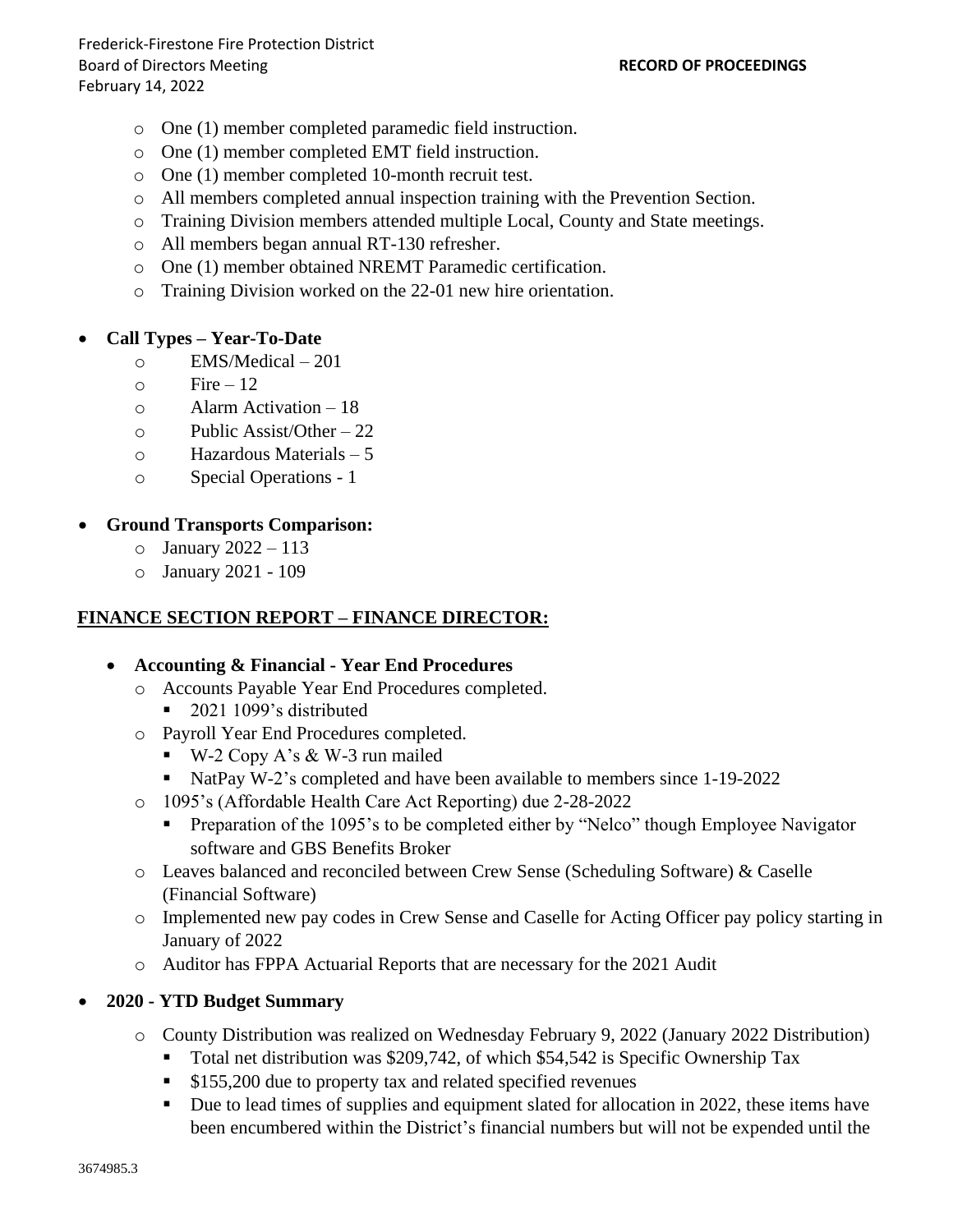- o One (1) member completed paramedic field instruction.
- o One (1) member completed EMT field instruction.
- o One (1) member completed 10-month recruit test.
- o All members completed annual inspection training with the Prevention Section.
- o Training Division members attended multiple Local, County and State meetings.
- o All members began annual RT-130 refresher.
- o One (1) member obtained NREMT Paramedic certification.
- o Training Division worked on the 22-01 new hire orientation.

### • **Call Types – Year-To-Date**

- o EMS/Medical 201
- $\circ$  Fire 12
- o Alarm Activation 18
- $\circ$  Public Assist/Other 22
- o Hazardous Materials 5
- o Special Operations 1

### • **Ground Transports Comparison:**

- $\circ$  January 2022 113
- o January 2021 109

## **FINANCE SECTION REPORT – FINANCE DIRECTOR:**

#### • **Accounting & Financial - Year End Procedures**

- o Accounts Payable Year End Procedures completed.
	- 2021 1099's distributed
- o Payroll Year End Procedures completed.
	- $\bullet$  W-2 Copy A's & W-3 run mailed
	- NatPay W-2's completed and have been available to members since 1-19-2022
- o 1095's (Affordable Health Care Act Reporting) due 2-28-2022
	- **•** Preparation of the 1095's to be completed either by "Nelco" though Employee Navigator software and GBS Benefits Broker
- o Leaves balanced and reconciled between Crew Sense (Scheduling Software) & Caselle (Financial Software)
- o Implemented new pay codes in Crew Sense and Caselle for Acting Officer pay policy starting in January of 2022
- o Auditor has FPPA Actuarial Reports that are necessary for the 2021 Audit

## • **2020 - YTD Budget Summary**

- o County Distribution was realized on Wednesday February 9, 2022 (January 2022 Distribution)
	- Total net distribution was \$209,742, of which \$54,542 is Specific Ownership Tax
	- \$155,200 due to property tax and related specified revenues
	- Due to lead times of supplies and equipment slated for allocation in 2022, these items have been encumbered within the District's financial numbers but will not be expended until the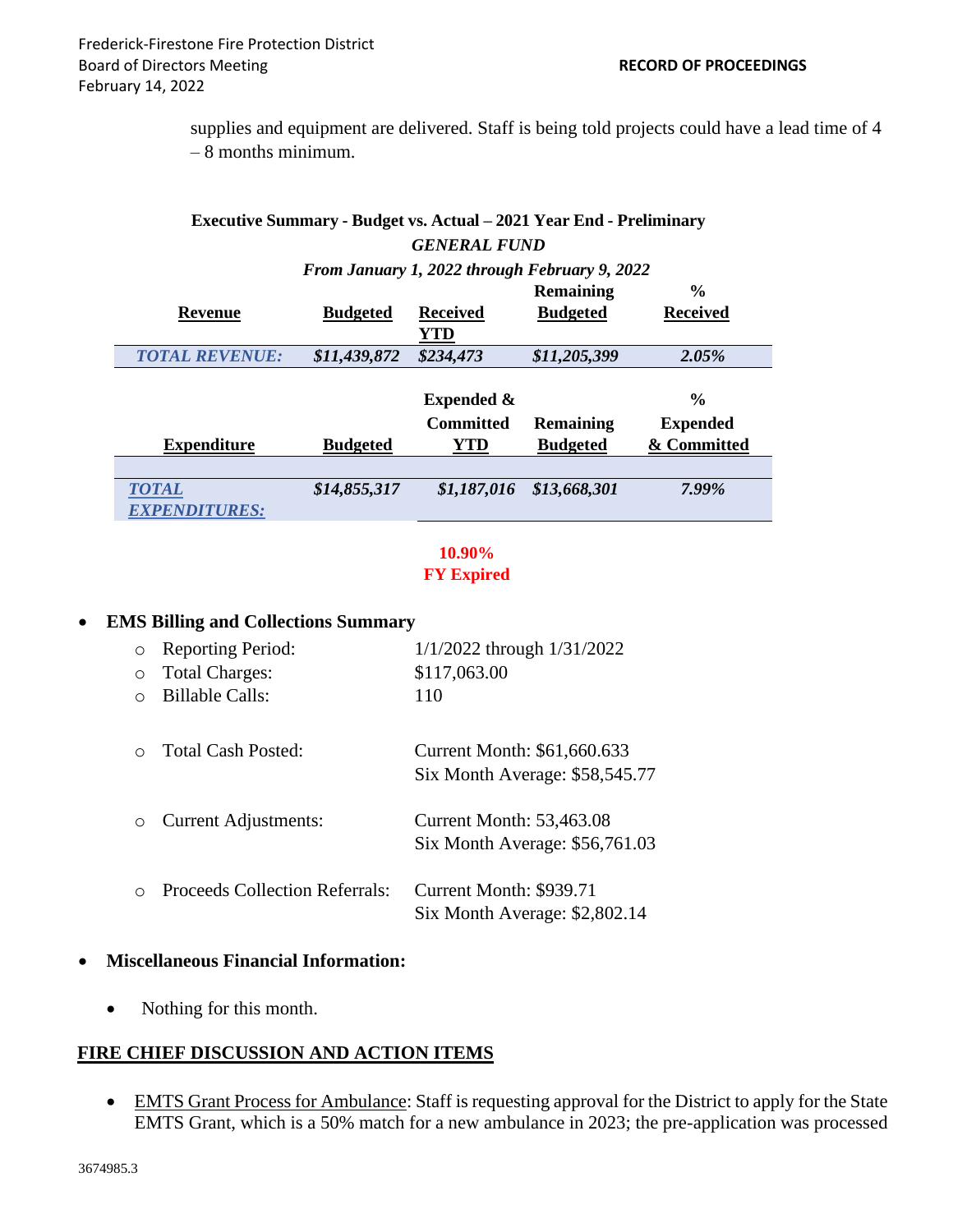supplies and equipment are delivered. Staff is being told projects could have a lead time of 4 – 8 months minimum.

### **Executive Summary - Budget vs. Actual – 2021 Year End - Preliminary** *GENERAL FUND*

#### *From January 1, 2022 through February 9, 2022*

|                       |                 |                       | <b>Remaining</b> | $\frac{0}{0}$   |
|-----------------------|-----------------|-----------------------|------------------|-----------------|
| Revenue               | <b>Budgeted</b> | <b>Received</b>       | <b>Budgeted</b>  | <b>Received</b> |
|                       |                 | YTD                   |                  |                 |
| <b>TOTAL REVENUE:</b> | \$11,439,872    | \$234,473             | \$11,205,399     | 2.05%           |
|                       |                 |                       |                  |                 |
|                       |                 | <b>Expended &amp;</b> |                  | $\frac{0}{0}$   |
|                       |                 | <b>Committed</b>      | <b>Remaining</b> | <b>Expended</b> |
| <b>Expenditure</b>    | <b>Budgeted</b> | YTD                   | <b>Budgeted</b>  | & Committed     |
|                       |                 |                       |                  |                 |
| <b>TOTAL</b>          | \$14,855,317    | \$1,187,016           | \$13,668,301     | 7.99%           |
| <b>EXPENDITURES:</b>  |                 |                       |                  |                 |

## **10.90% FY Expired**

#### • **EMS Billing and Collections Summary**

| $\circ$   | <b>Reporting Period:</b>              | $1/1/2022$ through $1/31/2022$                                    |
|-----------|---------------------------------------|-------------------------------------------------------------------|
| $\circ$   | <b>Total Charges:</b>                 | \$117,063.00                                                      |
| ∩         | <b>Billable Calls:</b>                | 110                                                               |
|           | Total Cash Posted:                    | Current Month: \$61,660.633<br>Six Month Average: \$58,545.77     |
| $\circ$   | <b>Current Adjustments:</b>           | <b>Current Month: 53,463.08</b><br>Six Month Average: \$56,761.03 |
| $\bigcap$ | <b>Proceeds Collection Referrals:</b> | Current Month: \$939.71<br>Six Month Average: \$2,802.14          |
|           |                                       |                                                                   |

## • **Miscellaneous Financial Information:**

• Nothing for this month.

## **FIRE CHIEF DISCUSSION AND ACTION ITEMS**

• EMTS Grant Process for Ambulance: Staff is requesting approval for the District to apply for the State EMTS Grant, which is a 50% match for a new ambulance in 2023; the pre-application was processed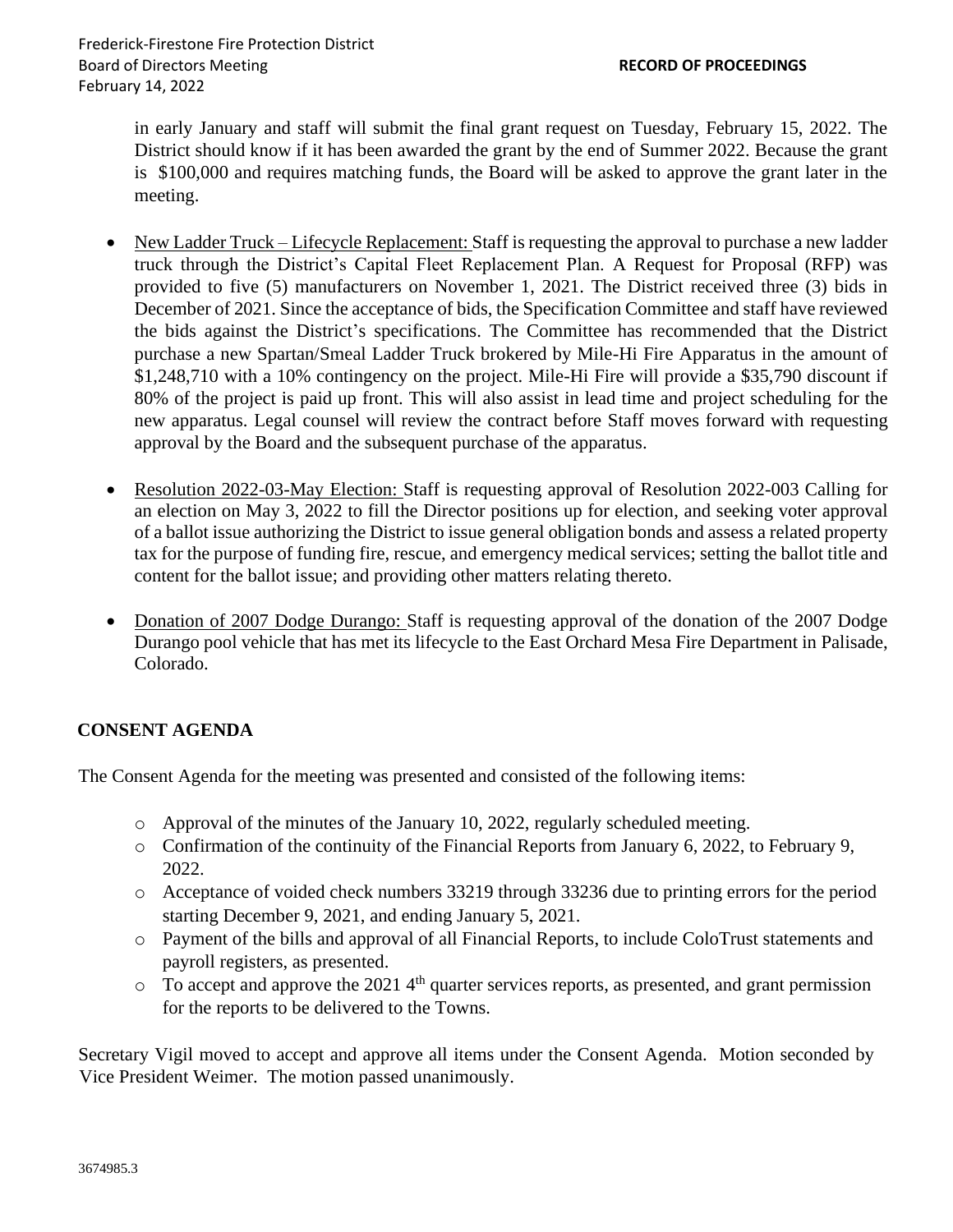in early January and staff will submit the final grant request on Tuesday, February 15, 2022. The District should know if it has been awarded the grant by the end of Summer 2022. Because the grant is \$100,000 and requires matching funds, the Board will be asked to approve the grant later in the meeting.

- New Ladder Truck Lifecycle Replacement: Staff is requesting the approval to purchase a new ladder truck through the District's Capital Fleet Replacement Plan. A Request for Proposal (RFP) was provided to five (5) manufacturers on November 1, 2021. The District received three (3) bids in December of 2021. Since the acceptance of bids, the Specification Committee and staff have reviewed the bids against the District's specifications. The Committee has recommended that the District purchase a new Spartan/Smeal Ladder Truck brokered by Mile-Hi Fire Apparatus in the amount of \$1,248,710 with a 10% contingency on the project. Mile-Hi Fire will provide a \$35,790 discount if 80% of the project is paid up front. This will also assist in lead time and project scheduling for the new apparatus. Legal counsel will review the contract before Staff moves forward with requesting approval by the Board and the subsequent purchase of the apparatus.
- Resolution 2022-03-May Election: Staff is requesting approval of Resolution 2022-003 Calling for an election on May 3, 2022 to fill the Director positions up for election, and seeking voter approval of a ballot issue authorizing the District to issue general obligation bonds and assess a related property tax for the purpose of funding fire, rescue, and emergency medical services; setting the ballot title and content for the ballot issue; and providing other matters relating thereto.
- Donation of 2007 Dodge Durango: Staff is requesting approval of the donation of the 2007 Dodge Durango pool vehicle that has met its lifecycle to the East Orchard Mesa Fire Department in Palisade, Colorado.

#### **CONSENT AGENDA**

The Consent Agenda for the meeting was presented and consisted of the following items:

- $\circ$  Approval of the minutes of the January 10, 2022, regularly scheduled meeting.
- o Confirmation of the continuity of the Financial Reports from January 6, 2022, to February 9, 2022.
- o Acceptance of voided check numbers 33219 through 33236 due to printing errors for the period starting December 9, 2021, and ending January 5, 2021.
- o Payment of the bills and approval of all Financial Reports, to include ColoTrust statements and payroll registers, as presented.
- $\circ$  To accept and approve the 2021 4<sup>th</sup> quarter services reports, as presented, and grant permission for the reports to be delivered to the Towns.

Secretary Vigil moved to accept and approve all items under the Consent Agenda. Motion seconded by Vice President Weimer. The motion passed unanimously.